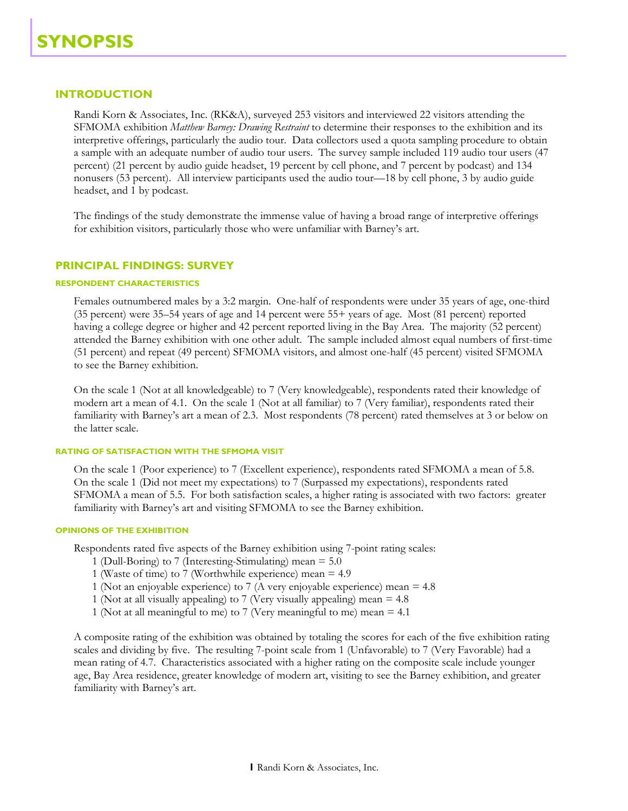# **INTRODUCTION**

Randi Korn & Associates, Inc. (RK&A), surveyed 253 visitors and interviewed 22 visitors attending the SFMOMA exhibition *Matthew Barney: Drawing Restraint* to determine their responses to the exhibition and its interpretive offerings, particularly the audio tour. Data collectors used a quota sampling procedure to obtain a sample with an adequate number of audio tour users. The survey sample included 119 audio tour users (47 percent) (21 percent by audio guide headset, 19 percent by cell phone, and 7 percent by podcast) and 134 nonusers (53 percent). All interview participants used the audio tour—18 by cell phone, 3 by audio guide headset, and 1 by podcast.

The findings of the study demonstrate the immense value of having a broad range of interpretive offerings for exhibition visitors, particularly those who were unfamiliar with Barney's art.

# **PRINCIPAL FINDINGS: SURVEY**

## **RESPONDENT CHARACTERISTICS**

Females outnumbered males by a 3:2 margin. One-half of respondents were under 35 years of age, one-third (35 percent) were 35–54 years of age and 14 percent were 55+ years of age. Most (81 percent) reported having a college degree or higher and 42 percent reported living in the Bay Area. The majority (52 percent) attended the Barney exhibition with one other adult. The sample included almost equal numbers of first-time (51 percent) and repeat (49 percent) SFMOMA visitors, and almost one-half (45 percent) visited SFMOMA to see the Barney exhibition.

On the scale 1 (Not at all knowledgeable) to 7 (Very knowledgeable), respondents rated their knowledge of modern art a mean of 4.1. On the scale 1 (Not at all familiar) to 7 (Very familiar), respondents rated their familiarity with Barney's art a mean of 2.3. Most respondents (78 percent) rated themselves at 3 or below on the latter scale.

## **RATING OF SATISFACTION WITH THE SFMOMA VISIT**

On the scale 1 (Poor experience) to 7 (Excellent experience), respondents rated SFMOMA a mean of 5.8. On the scale 1 (Did not meet my expectations) to 7 (Surpassed my expectations), respondents rated SFMOMA a mean of 5.5. For both satisfaction scales, a higher rating is associated with two factors: greater familiarity with Barney's art and visiting SFMOMA to see the Barney exhibition.

## **OPINIONS OF THE EXHIBITION**

Respondents rated five aspects of the Barney exhibition using 7-point rating scales:

- 1 (Dull-Boring) to 7 (Interesting-Stimulating) mean = 5.0
- 1 (Waste of time) to 7 (Worthwhile experience) mean = 4.9
- 1 (Not an enjoyable experience) to 7 (A very enjoyable experience) mean = 4.8
- 1 (Not at all visually appealing) to 7 (Very visually appealing) mean = 4.8
- 1 (Not at all meaningful to me) to 7 (Very meaningful to me) mean = 4.1

A composite rating of the exhibition was obtained by totaling the scores for each of the five exhibition rating scales and dividing by five. The resulting 7-point scale from 1 (Unfavorable) to 7 (Very Favorable) had a mean rating of 4.7. Characteristics associated with a higher rating on the composite scale include younger age, Bay Area residence, greater knowledge of modern art, visiting to see the Barney exhibition, and greater familiarity with Barney's art.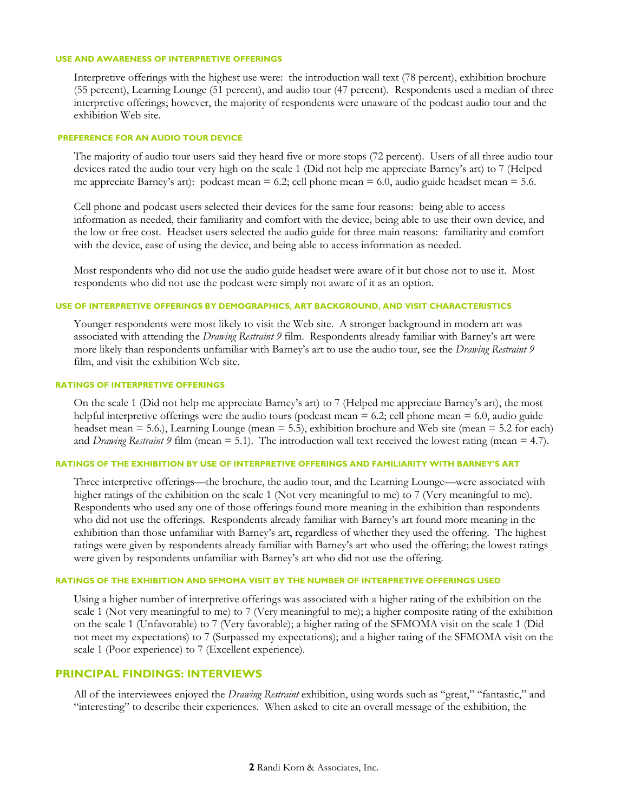#### **USE AND AWARENESS OF INTERPRETIVE OFFERINGS**

Interpretive offerings with the highest use were: the introduction wall text (78 percent), exhibition brochure (55 percent), Learning Lounge (51 percent), and audio tour (47 percent). Respondents used a median of three interpretive offerings; however, the majority of respondents were unaware of the podcast audio tour and the exhibition Web site.

#### **PREFERENCE FOR AN AUDIO TOUR DEVICE**

The majority of audio tour users said they heard five or more stops (72 percent). Users of all three audio tour devices rated the audio tour very high on the scale 1 (Did not help me appreciate Barney's art) to 7 (Helped me appreciate Barney's art): podcast mean = 6.2; cell phone mean = 6.0, audio guide headset mean = 5.6.

Cell phone and podcast users selected their devices for the same four reasons: being able to access information as needed, their familiarity and comfort with the device, being able to use their own device, and the low or free cost. Headset users selected the audio guide for three main reasons: familiarity and comfort with the device, ease of using the device, and being able to access information as needed.

Most respondents who did not use the audio guide headset were aware of it but chose not to use it. Most respondents who did not use the podcast were simply not aware of it as an option.

## **USE OF INTERPRETIVE OFFERINGS BY DEMOGRAPHICS, ART BACKGROUND, AND VISIT CHARACTERISTICS**

Younger respondents were most likely to visit the Web site. A stronger background in modern art was associated with attending the *Drawing Restraint 9* film. Respondents already familiar with Barney's art were more likely than respondents unfamiliar with Barney's art to use the audio tour, see the *Drawing Restraint 9* film, and visit the exhibition Web site.

## **RATINGS OF INTERPRETIVE OFFERINGS**

On the scale 1 (Did not help me appreciate Barney's art) to 7 (Helped me appreciate Barney's art), the most helpful interpretive offerings were the audio tours (podcast mean  $= 6.2$ ; cell phone mean  $= 6.0$ , audio guide headset mean  $= 5.6$ .), Learning Lounge (mean  $= 5.5$ ), exhibition brochure and Web site (mean  $= 5.2$  for each) and *Drawing Restraint 9* film (mean = 5.1). The introduction wall text received the lowest rating (mean = 4.7).

#### **RATINGS OF THE EXHIBITION BY USE OF INTERPRETIVE OFFERINGS AND FAMILIARITY WITH BARNEY'S ART**

Three interpretive offerings—the brochure, the audio tour, and the Learning Lounge—were associated with higher ratings of the exhibition on the scale 1 (Not very meaningful to me) to 7 (Very meaningful to me). Respondents who used any one of those offerings found more meaning in the exhibition than respondents who did not use the offerings. Respondents already familiar with Barney's art found more meaning in the exhibition than those unfamiliar with Barney's art, regardless of whether they used the offering. The highest ratings were given by respondents already familiar with Barney's art who used the offering; the lowest ratings were given by respondents unfamiliar with Barney's art who did not use the offering.

#### **RATINGS OF THE EXHIBITION AND SFMOMA VISIT BY THE NUMBER OF INTERPRETIVE OFFERINGS USED**

Using a higher number of interpretive offerings was associated with a higher rating of the exhibition on the scale 1 (Not very meaningful to me) to 7 (Very meaningful to me); a higher composite rating of the exhibition on the scale 1 (Unfavorable) to 7 (Very favorable); a higher rating of the SFMOMA visit on the scale 1 (Did not meet my expectations) to 7 (Surpassed my expectations); and a higher rating of the SFMOMA visit on the scale 1 (Poor experience) to 7 (Excellent experience).

## **PRINCIPAL FINDINGS: INTERVIEWS**

All of the interviewees enjoyed the *Drawing Restraint* exhibition, using words such as "great," "fantastic," and "interesting" to describe their experiences. When asked to cite an overall message of the exhibition, the